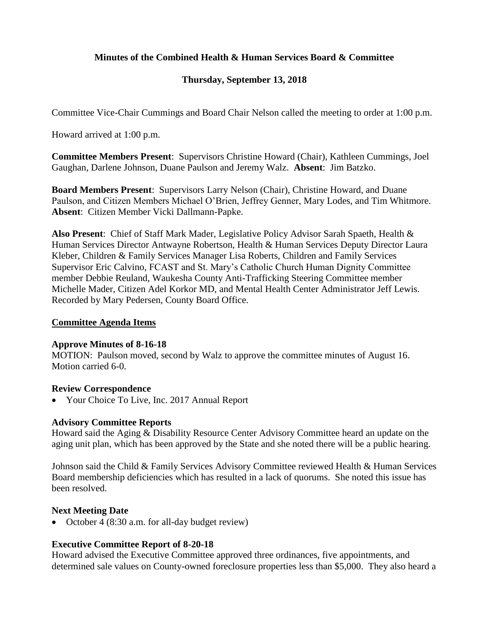# **Minutes of the Combined Health & Human Services Board & Committee**

# **Thursday, September 13, 2018**

Committee Vice-Chair Cummings and Board Chair Nelson called the meeting to order at 1:00 p.m.

Howard arrived at 1:00 p.m.

**Committee Members Present**: Supervisors Christine Howard (Chair), Kathleen Cummings, Joel Gaughan, Darlene Johnson, Duane Paulson and Jeremy Walz. **Absent**: Jim Batzko.

**Board Members Present**: Supervisors Larry Nelson (Chair), Christine Howard, and Duane Paulson, and Citizen Members Michael O'Brien, Jeffrey Genner, Mary Lodes, and Tim Whitmore. **Absent**: Citizen Member Vicki Dallmann-Papke.

**Also Present**: Chief of Staff Mark Mader, Legislative Policy Advisor Sarah Spaeth, Health & Human Services Director Antwayne Robertson, Health & Human Services Deputy Director Laura Kleber, Children & Family Services Manager Lisa Roberts, Children and Family Services Supervisor Eric Calvino, FCAST and St. Mary's Catholic Church Human Dignity Committee member Debbie Reuland, Waukesha County Anti-Trafficking Steering Committee member Michelle Mader, Citizen Adel Korkor MD, and Mental Health Center Administrator Jeff Lewis. Recorded by Mary Pedersen, County Board Office.

#### **Committee Agenda Items**

#### **Approve Minutes of 8-16-18**

MOTION: Paulson moved, second by Walz to approve the committee minutes of August 16. Motion carried 6-0.

#### **Review Correspondence**

• Your Choice To Live, Inc. 2017 Annual Report

#### **Advisory Committee Reports**

Howard said the Aging & Disability Resource Center Advisory Committee heard an update on the aging unit plan, which has been approved by the State and she noted there will be a public hearing.

Johnson said the Child & Family Services Advisory Committee reviewed Health & Human Services Board membership deficiencies which has resulted in a lack of quorums. She noted this issue has been resolved.

## **Next Meeting Date**

• October 4 (8:30 a.m. for all-day budget review)

## **Executive Committee Report of 8-20-18**

Howard advised the Executive Committee approved three ordinances, five appointments, and determined sale values on County-owned foreclosure properties less than \$5,000. They also heard a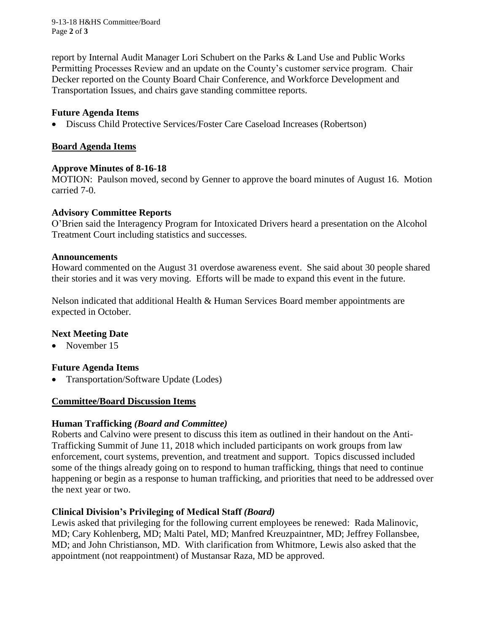9-13-18 H&HS Committee/Board Page **2** of **3**

report by Internal Audit Manager Lori Schubert on the Parks & Land Use and Public Works Permitting Processes Review and an update on the County's customer service program. Chair Decker reported on the County Board Chair Conference, and Workforce Development and Transportation Issues, and chairs gave standing committee reports.

### **Future Agenda Items**

Discuss Child Protective Services/Foster Care Caseload Increases (Robertson)

### **Board Agenda Items**

#### **Approve Minutes of 8-16-18**

MOTION: Paulson moved, second by Genner to approve the board minutes of August 16. Motion carried 7-0.

#### **Advisory Committee Reports**

O'Brien said the Interagency Program for Intoxicated Drivers heard a presentation on the Alcohol Treatment Court including statistics and successes.

#### **Announcements**

Howard commented on the August 31 overdose awareness event. She said about 30 people shared their stories and it was very moving. Efforts will be made to expand this event in the future.

Nelson indicated that additional Health & Human Services Board member appointments are expected in October.

## **Next Meeting Date**

• November 15

#### **Future Agenda Items**

• Transportation/Software Update (Lodes)

#### **Committee/Board Discussion Items**

#### **Human Trafficking** *(Board and Committee)*

Roberts and Calvino were present to discuss this item as outlined in their handout on the Anti-Trafficking Summit of June 11, 2018 which included participants on work groups from law enforcement, court systems, prevention, and treatment and support. Topics discussed included some of the things already going on to respond to human trafficking, things that need to continue happening or begin as a response to human trafficking, and priorities that need to be addressed over the next year or two.

## **Clinical Division's Privileging of Medical Staff** *(Board)*

Lewis asked that privileging for the following current employees be renewed: Rada Malinovic, MD; Cary Kohlenberg, MD; Malti Patel, MD; Manfred Kreuzpaintner, MD; Jeffrey Follansbee, MD; and John Christianson, MD. With clarification from Whitmore, Lewis also asked that the appointment (not reappointment) of Mustansar Raza, MD be approved.